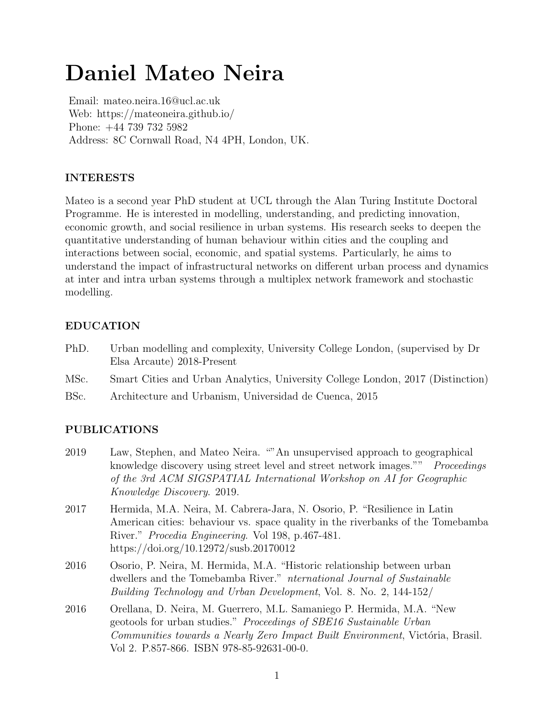# Daniel Mateo Neira

Email: mateo.neira.16@ucl.ac.uk Web: https://mateoneira.github.io/ Phone: +44 739 732 5982 Address: 8C Cornwall Road, N4 4PH, London, UK.

# INTERESTS

Mateo is a second year PhD student at UCL through the Alan Turing Institute Doctoral Programme. He is interested in modelling, understanding, and predicting innovation, economic growth, and social resilience in urban systems. His research seeks to deepen the quantitative understanding of human behaviour within cities and the coupling and interactions between social, economic, and spatial systems. Particularly, he aims to understand the impact of infrastructural networks on different urban process and dynamics at inter and intra urban systems through a multiplex network framework and stochastic modelling.

## EDUCATION

- PhD. Urban modelling and complexity, University College London, (supervised by Dr Elsa Arcaute) 2018-Present
- MSc. Smart Cities and Urban Analytics, University College London, 2017 (Distinction)
- BSc. Architecture and Urbanism, Universidad de Cuenca, 2015

## PUBLICATIONS

- 2019 Law, Stephen, and Mateo Neira. ""An unsupervised approach to geographical knowledge discovery using street level and street network images."" Proceedings of the 3rd ACM SIGSPATIAL International Workshop on AI for Geographic Knowledge Discovery. 2019.
- 2017 Hermida, M.A. Neira, M. Cabrera-Jara, N. Osorio, P. "Resilience in Latin American cities: behaviour vs. space quality in the riverbanks of the Tomebamba River." Procedia Engineering. Vol 198, p.467-481. https://doi.org/10.12972/susb.20170012
- 2016 Osorio, P. Neira, M. Hermida, M.A. "Historic relationship between urban dwellers and the Tomebamba River." nternational Journal of Sustainable Building Technology and Urban Development, Vol. 8. No. 2, 144-152/
- 2016 Orellana, D. Neira, M. Guerrero, M.L. Samaniego P. Hermida, M.A. "New geotools for urban studies." Proceedings of SBE16 Sustainable Urban Communities towards a Nearly Zero Impact Built Environment, Victória, Brasil. Vol 2. P.857-866. ISBN 978-85-92631-00-0.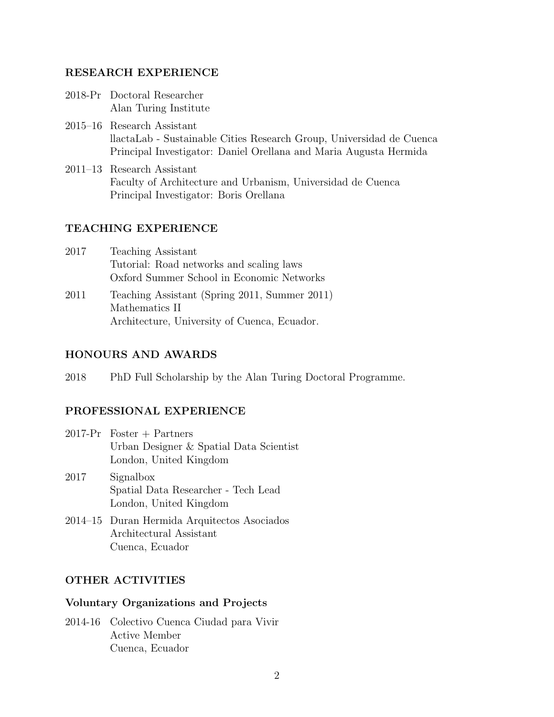#### RESEARCH EXPERIENCE

- 2018-Pr Doctoral Researcher Alan Turing Institute
- 2015–16 Research Assistant llactaLab - Sustainable Cities Research Group, Universidad de Cuenca Principal Investigator: Daniel Orellana and Maria Augusta Hermida
- 2011–13 Research Assistant Faculty of Architecture and Urbanism, Universidad de Cuenca Principal Investigator: Boris Orellana

## TEACHING EXPERIENCE

- 2017 Teaching Assistant Tutorial: Road networks and scaling laws Oxford Summer School in Economic Networks
- 2011 Teaching Assistant (Spring 2011, Summer 2011) Mathematics II Architecture, University of Cuenca, Ecuador.

## HONOURS AND AWARDS

2018 PhD Full Scholarship by the Alan Turing Doctoral Programme.

## PROFESSIONAL EXPERIENCE

- 2017-Pr Foster + Partners Urban Designer & Spatial Data Scientist London, United Kingdom
- 2017 Signalbox Spatial Data Researcher - Tech Lead London, United Kingdom
- 2014–15 Duran Hermida Arquitectos Asociados Architectural Assistant Cuenca, Ecuador

#### OTHER ACTIVITIES

#### Voluntary Organizations and Projects

2014-16 Colectivo Cuenca Ciudad para Vivir Active Member Cuenca, Ecuador